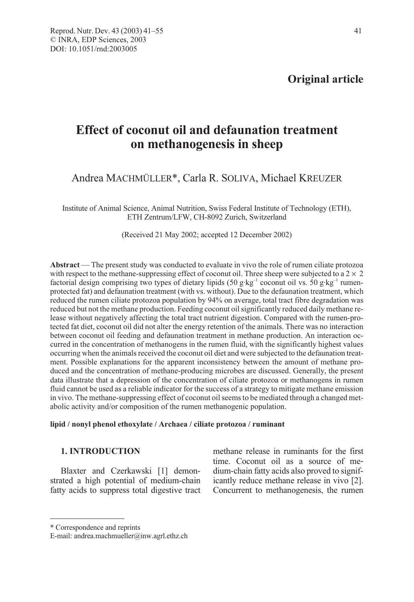# Effect of coconut oil and defaunation treatment on methanogenesis in sheep

# Andrea MACHMÜLLER\*, Carla R. SOLIVA, Michael KREUZER

Institute of Animal Science, Animal Nutrition, Swiss Federal Institute of Technology (ETH), ETH Zentrum/LFW, CH-8092 Zurich, Switzerland

(Received 21 May 2002; accepted 12 December 2002)

Abstract — The present study was conducted to evaluate in vivo the role of rumen ciliate protozoa with respect to the methane-suppressing effect of coconut oil. Three sheep were subjected to a  $2 \times 2$ factorial design comprising two types of dietary lipids (50 g·kg<sup>-1</sup> coconut oil vs. 50 g·kg<sup>-1</sup> rumenprotected fat) and defaunation treatment (with vs. without). Due to the defaunation treatment, which reduced the rumen ciliate protozoa population by 94% on average, total tract fibre degradation was reduced but not the methane production. Feeding coconut oil significantly reduced daily methane release without negatively affecting the total tract nutrient digestion. Compared with the rumen-protected fat diet, coconut oil did not alter the energy retention of the animals. There was no interaction between coconut oil feeding and defaunation treatment in methane production. An interaction occurred in the concentration of methanogens in the rumen fluid, with the significantly highest values occurring when the animals received the coconut oil diet and were subjected to the defaunation treatment. Possible explanations for the apparent inconsistency between the amount of methane produced and the concentration of methane-producing microbes are discussed. Generally, the present data illustrate that a depression of the concentration of ciliate protozoa or methanogens in rumen fluid cannot be used as a reliable indicator for the success of a strategy to mitigate methane emission in vivo. The methane-suppressing effect of coconut oil seems to be mediated through a changed metabolic activity and/or composition of the rumen methanogenic population.

### lipid / nonyl phenol ethoxylate / Archaea / ciliate protozoa / ruminant

# 1. INTRODUCTION

Blaxter and Czerkawski [1] demonstrated a high potential of medium-chain fatty acids to suppress total digestive tract methane release in ruminants for the first time. Coconut oil as a source of medium-chain fatty acids also proved to significantly reduce methane release in vivo [2]. Concurrent to methanogenesis, the rumen

<sup>\*</sup> Correspondence and reprints

E-mail: andrea.machmueller@inw.agrl.ethz.ch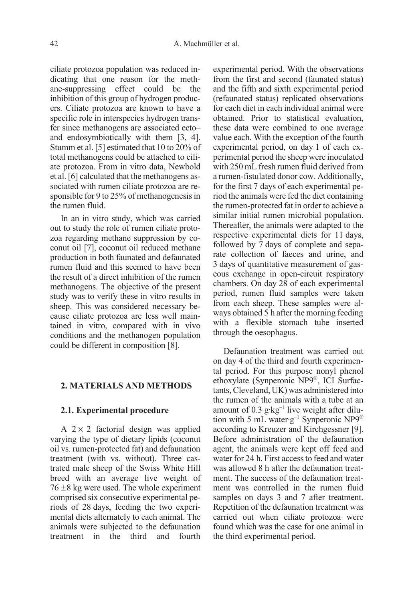ciliate protozoa population was reduced indicating that one reason for the methane-suppressing effect could be the inhibition of this group of hydrogen producers. Ciliate protozoa are known to have a specific role in interspecies hydrogen transfer since methanogens are associated ecto– and endosymbiotically with them [3, 4]. Stumm et al. [5] estimated that 10 to 20% of total methanogens could be attached to ciliate protozoa. From in vitro data, Newbold et al. [6] calculated that the methanogens associated with rumen ciliate protozoa are responsible for 9 to 25% of methanogenesis in the rumen fluid.

In an in vitro study, which was carried out to study the role of rumen ciliate protozoa regarding methane suppression by coconut oil [7], coconut oil reduced methane production in both faunated and defaunated rumen fluid and this seemed to have been the result of a direct inhibition of the rumen methanogens. The objective of the present study was to verify these in vitro results in sheep. This was considered necessary because ciliate protozoa are less well maintained in vitro, compared with in vivo conditions and the methanogen population could be different in composition [8].

#### 2. MATERIALS AND METHODS

#### 2.1. Experimental procedure

A  $2 \times 2$  factorial design was applied varying the type of dietary lipids (coconut oil vs. rumen-protected fat) and defaunation treatment (with vs. without). Three castrated male sheep of the Swiss White Hill breed with an average live weight of  $76 \pm 8$  kg were used. The whole experiment comprised six consecutive experimental periods of 28 days, feeding the two experimental diets alternately to each animal. The animals were subjected to the defaunation treatment in the third and fourth

experimental period. With the observations from the first and second (faunated status) and the fifth and sixth experimental period (refaunated status) replicated observations for each diet in each individual animal were obtained. Prior to statistical evaluation, these data were combined to one average value each. With the exception of the fourth experimental period, on day 1 of each experimental period the sheep were inoculated with 250 mL fresh rumen fluid derived from a rumen-fistulated donor cow. Additionally, for the first 7 days of each experimental period the animals were fed the diet containing the rumen-protected fat in order to achieve a similar initial rumen microbial population. Thereafter, the animals were adapted to the respective experimental diets for 11 days, followed by 7 days of complete and separate collection of faeces and urine, and 3 days of quantitative measurement of gaseous exchange in open-circuit respiratory chambers. On day 28 of each experimental period, rumen fluid samples were taken from each sheep. These samples were always obtained 5 h after the morning feeding with a flexible stomach tube inserted through the oesophagus.

Defaunation treatment was carried out on day 4 of the third and fourth experimental period. For this purpose nonyl phenol ethoxylate (Synperonic NP9®, ICI Surfactants, Cleveland, UK) was administered into the rumen of the animals with a tube at an amount of  $0.3$  g·kg<sup>-1</sup> live weight after dilution with 5 mL water·g<sup>-1</sup> Synperonic NP9<sup>®</sup> according to Kreuzer and Kirchgessner [9]. Before administration of the defaunation agent, the animals were kept off feed and water for 24 h. First access to feed and water was allowed 8 h after the defaunation treatment. The success of the defaunation treatment was controlled in the rumen fluid samples on days 3 and 7 after treatment. Repetition of the defaunation treatment was carried out when ciliate protozoa were found which was the case for one animal in the third experimental period.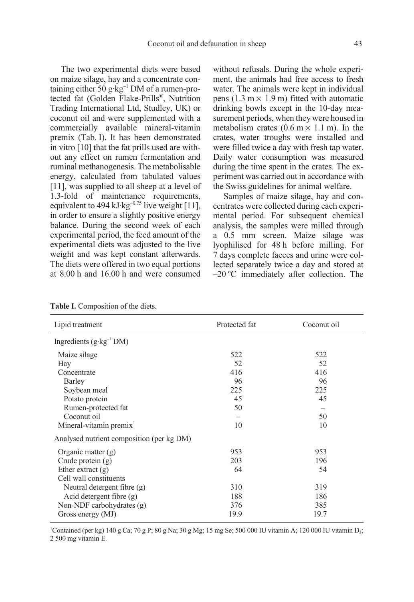The two experimental diets were based on maize silage, hay and a concentrate containing either  $50$  g·kg<sup>-1</sup> DM of a rumen-protected fat (Golden Flake-Prills®, Nutrition Trading International Ltd, Studley, UK) or coconut oil and were supplemented with a commercially available mineral-vitamin premix (Tab. I). It has been demonstrated in vitro [10] that the fat prills used are without any effect on rumen fermentation and ruminal methanogenesis. The metabolisable energy, calculated from tabulated values [11], was supplied to all sheep at a level of 1.3-fold of maintenance requirements, equivalent to 494 kJ·kg<sup>-0.75</sup> live weight [11], in order to ensure a slightly positive energy balance. During the second week of each experimental period, the feed amount of the experimental diets was adjusted to the live weight and was kept constant afterwards. The diets were offered in two equal portions at 8.00 h and 16.00 h and were consumed without refusals. During the whole experiment, the animals had free access to fresh water. The animals were kept in individual pens (1.3 m  $\times$  1.9 m) fitted with automatic drinking bowls except in the 10-day measurement periods, when they were housed in metabolism crates  $(0.6 \text{ m} \times 1.1 \text{ m})$ . In the crates, water troughs were installed and were filled twice a day with fresh tap water. Daily water consumption was measured during the time spent in the crates. The experiment was carried out in accordance with the Swiss guidelines for animal welfare.

Samples of maize silage, hay and concentrates were collected during each experimental period. For subsequent chemical analysis, the samples were milled through a 0.5 mm screen. Maize silage was lyophilised for 48 h before milling. For 7 days complete faeces and urine were collected separately twice a day and stored at  $-20$  °C immediately after collection. The

| Lipid treatment                           | Protected fat | Coconut oil |
|-------------------------------------------|---------------|-------------|
| Ingredients $(g \cdot kg^{-1} DM)$        |               |             |
| Maize silage                              | 522           | 522         |
| Hay                                       | 52            | 52          |
| Concentrate                               | 416           | 416         |
| Barley                                    | 96            | 96          |
| Soybean meal                              | 225           | 225         |
| Potato protein                            | 45            | 45          |
| Rumen-protected fat                       | 50            |             |
| Coconut oil                               |               | 50          |
| Mineral-vitamin premix <sup>1</sup>       | 10            | 10          |
| Analysed nutrient composition (per kg DM) |               |             |
| Organic matter $(g)$                      | 953           | 953         |
| Crude protein (g)                         | 203           | 196         |
| Ether extract $(g)$                       | 64            | 54          |
| Cell wall constituents                    |               |             |
| Neutral detergent fibre $(g)$             | 310           | 319         |
| Acid detergent fibre $(g)$                | 188           | 186         |
| Non-NDF carbohydrates $(g)$               | 376           | 385         |
| Gross energy (MJ)                         | 19.9          | 19.7        |

Table I. Composition of the diets.

<sup>1</sup>Contained (per kg) 140 g Ca; 70 g P; 80 g Na; 30 g Mg; 15 mg Se; 500 000 IU vitamin A; 120 000 IU vitamin D<sub>3</sub>; 2 500 mg vitamin E.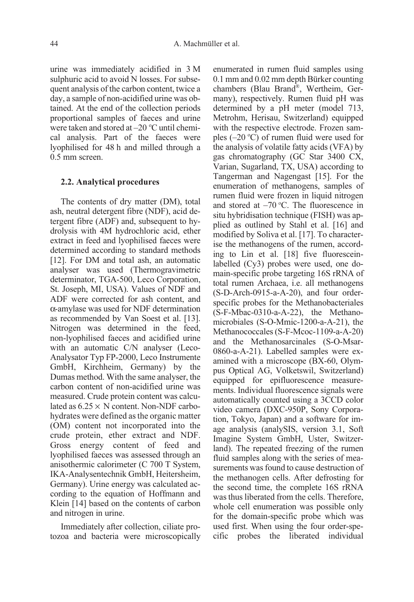urine was immediately acidified in 3 M sulphuric acid to avoid N losses. For subsequent analysis of the carbon content, twice a day, a sample of non-acidified urine was obtained. At the end of the collection periods proportional samples of faeces and urine were taken and stored at -20 °C until chemical analysis. Part of the faeces were lyophilised for 48 h and milled through a 0.5 mm screen.

#### 2.2. Analytical procedures

The contents of dry matter (DM), total ash, neutral detergent fibre (NDF), acid detergent fibre (ADF) and, subsequent to hydrolysis with 4M hydrochloric acid, ether extract in feed and lyophilised faeces were determined according to standard methods [12]. For DM and total ash, an automatic analyser was used (Thermogravimetric determinator, TGA-500, Leco Corporation, St. Joseph, MI, USA). Values of NDF and ADF were corrected for ash content, and α-amylase was used for NDF determination as recommended by Van Soest et al. [13]. Nitrogen was determined in the feed, non-lyophilised faeces and acidified urine with an automatic C/N analyser (Leco-Analysator Typ FP-2000, Leco Instrumente GmbH, Kirchheim, Germany) by the Dumas method. With the same analyser, the carbon content of non-acidified urine was measured. Crude protein content was calculated as  $6.25 \times N$  content. Non-NDF carbohydrates were defined as the organic matter (OM) content not incorporated into the crude protein, ether extract and NDF. Gross energy content of feed and lyophilised faeces was assessed through an anisothermic calorimeter (C 700 T System, IKA-Analysentechnik GmbH, Heitersheim, Germany). Urine energy was calculated according to the equation of Hoffmann and Klein [14] based on the contents of carbon and nitrogen in urine.

Immediately after collection, ciliate protozoa and bacteria were microscopically enumerated in rumen fluid samples using 0.1 mm and 0.02 mm depth Bürker counting chambers (Blau Brand®, Wertheim, Germany), respectively. Rumen fluid pH was determined by a pH meter (model 713, Metrohm, Herisau, Switzerland) equipped with the respective electrode. Frozen samples  $(-20 °C)$  of rumen fluid were used for the analysis of volatile fatty acids (VFA) by gas chromatography (GC Star 3400 CX, Varian, Sugarland, TX, USA) according to Tangerman and Nagengast [15]. For the enumeration of methanogens, samples of rumen fluid were frozen in liquid nitrogen and stored at  $-70^{\circ}$ C. The fluorescence in situ hybridisation technique (FISH) was applied as outlined by Stahl et al. [16] and modified by Soliva et al. [17]. To characterise the methanogens of the rumen, according to Lin et al. [18] five fluoresceinlabelled (Cy3) probes were used, one domain-specific probe targeting 16S rRNA of total rumen Archaea, i.e. all methanogens (S-D-Arch-0915-a-A-20), and four orderspecific probes for the Methanobacteriales (S-F-Mbac-0310-a-A-22), the Methanomicrobiales (S-O-Mmic-1200-a-A-21), the Methanococcales (S-F-Mcoc-1109-a-A-20) and the Methanosarcinales (S-O-Msar-0860-a-A-21). Labelled samples were examined with a microscope (BX-60, Olympus Optical AG, Volketswil, Switzerland) equipped for epifluorescence measurements. Individual fluorescence signals were automatically counted using a 3CCD color video camera (DXC-950P, Sony Corporation, Tokyo, Japan) and a software for image analysis (analySIS, version 3.1, Soft Imagine System GmbH, Uster, Switzerland). The repeated freezing of the rumen fluid samples along with the series of measurements was found to cause destruction of the methanogen cells. After defrosting for the second time, the complete 16S rRNA was thus liberated from the cells. Therefore, whole cell enumeration was possible only for the domain-specific probe which was used first. When using the four order-specific probes the liberated individual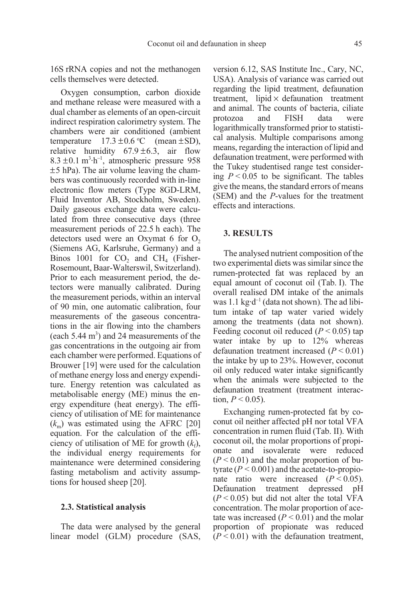16S rRNA copies and not the methanogen cells themselves were detected.

Oxygen consumption, carbon dioxide and methane release were measured with a dual chamber as elements of an open-circuit indirect respiration calorimetry system. The chambers were air conditioned (ambient temperature  $17.3 \pm 0.6$  °C (mean  $\pm$ SD), relative humidity  $67.9 \pm 6.3$ , air flow  $8.3 \pm 0.1 \text{ m}^3 \cdot \text{h}^{-1}$ , atmospheric pressure 958  $±5$  hPa). The air volume leaving the chambers was continuously recorded with in-line electronic flow meters (Type 8GD-LRM, Fluid Inventor AB, Stockholm, Sweden). Daily gaseous exchange data were calculated from three consecutive days (three measurement periods of 22.5 h each). The detectors used were an Oxymat  $6$  for  $O<sub>2</sub>$ (Siemens AG, Karlsruhe, Germany) and a Binos 1001 for  $CO<sub>2</sub>$  and  $CH<sub>4</sub>$  (Fisher-Rosemount, Baar-Walterswil, Switzerland). Prior to each measurement period, the detectors were manually calibrated. During the measurement periods, within an interval of 90 min, one automatic calibration, four measurements of the gaseous concentrations in the air flowing into the chambers (each  $5.44 \text{ m}^3$ ) and 24 measurements of the gas concentrations in the outgoing air from each chamber were performed. Equations of Brouwer [19] were used for the calculation of methane energy loss and energy expenditure. Energy retention was calculated as metabolisable energy (ME) minus the energy expenditure (heat energy). The efficiency of utilisation of ME for maintenance  $(k<sub>m</sub>)$  was estimated using the AFRC [20] equation. For the calculation of the efficiency of utilisation of ME for growth  $(k_f)$ , the individual energy requirements for maintenance were determined considering fasting metabolism and activity assumptions for housed sheep [20].

#### 2.3. Statistical analysis

The data were analysed by the general linear model (GLM) procedure (SAS, version 6.12, SAS Institute Inc., Cary, NC, USA). Analysis of variance was carried out regarding the lipid treatment, defaunation treatment, lipid  $\times$  defaunation treatment and animal. The counts of bacteria, ciliate protozoa and FISH data were logarithmically transformed prior to statistical analysis. Multiple comparisons among means, regarding the interaction of lipid and defaunation treatment, were performed with the Tukey studentised range test considering  $P < 0.05$  to be significant. The tables give the means, the standard errors of means (SEM) and the P-values for the treatment effects and interactions.

### 3. RESULTS

The analysed nutrient composition of the two experimental diets was similar since the rumen-protected fat was replaced by an equal amount of coconut oil (Tab. I). The overall realised DM intake of the animals was 1.1 kg·d<sup>-1</sup> (data not shown). The ad libitum intake of tap water varied widely among the treatments (data not shown). Feeding coconut oil reduced  $(P < 0.05)$  tap water intake by up to 12% whereas defaunation treatment increased  $(P < 0.01)$ the intake by up to 23%. However, coconut oil only reduced water intake significantly when the animals were subjected to the defaunation treatment (treatment interaction,  $P < 0.05$ ).

Exchanging rumen-protected fat by coconut oil neither affected pH nor total VFA concentration in rumen fluid (Tab. II). With coconut oil, the molar proportions of propionate and isovalerate were reduced  $(P < 0.01)$  and the molar proportion of butyrate ( $P < 0.001$ ) and the acetate-to-propionate ratio were increased  $(P < 0.05)$ .<br>Defaunation treatment depressed pH Defaunation treatment depressed pH  $(P < 0.05)$  but did not alter the total VFA concentration. The molar proportion of acetate was increased  $(P < 0.01)$  and the molar proportion of propionate was reduced  $(P < 0.01)$  with the defaunation treatment,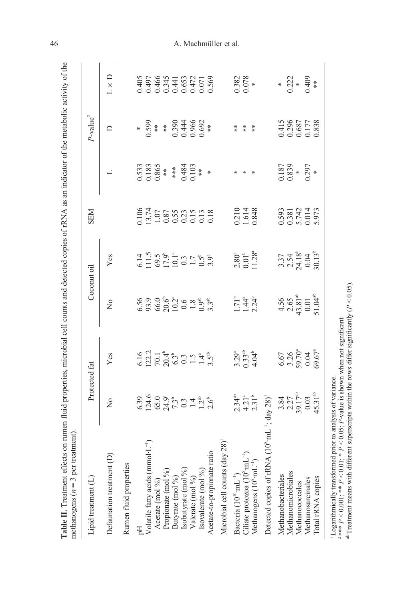| methanogens ( $n = 3$ per treatment)                    |                                                                                                                                                                                                                   |                                                                                                     |                                                                                                                                                            |                                                                                                   |                                                                                                        |                                |                                                                          |                                                              |
|---------------------------------------------------------|-------------------------------------------------------------------------------------------------------------------------------------------------------------------------------------------------------------------|-----------------------------------------------------------------------------------------------------|------------------------------------------------------------------------------------------------------------------------------------------------------------|---------------------------------------------------------------------------------------------------|--------------------------------------------------------------------------------------------------------|--------------------------------|--------------------------------------------------------------------------|--------------------------------------------------------------|
| Lipid treatment (L)                                     | Protected fat                                                                                                                                                                                                     |                                                                                                     |                                                                                                                                                            | Coconut oil                                                                                       | <b>NEN</b>                                                                                             |                                | $P$ -value <sup>2</sup>                                                  |                                                              |
| Defaunation treatment (D)                               | $\frac{1}{2}$                                                                                                                                                                                                     | Yes                                                                                                 | $\frac{1}{2}$                                                                                                                                              | Yes                                                                                               |                                                                                                        | 凵                              | $\square$                                                                | $L \times D$                                                 |
| Rumen fluid properties                                  |                                                                                                                                                                                                                   |                                                                                                     |                                                                                                                                                            |                                                                                                   |                                                                                                        |                                |                                                                          |                                                              |
|                                                         |                                                                                                                                                                                                                   |                                                                                                     |                                                                                                                                                            |                                                                                                   |                                                                                                        |                                |                                                                          |                                                              |
| Volatile fatty acids $(mmol \cdot L^{-1})$              |                                                                                                                                                                                                                   |                                                                                                     |                                                                                                                                                            |                                                                                                   |                                                                                                        | 0.533<br>0.183<br>0.865<br>*** |                                                                          |                                                              |
| Acetate (mol %)                                         |                                                                                                                                                                                                                   |                                                                                                     |                                                                                                                                                            |                                                                                                   |                                                                                                        |                                |                                                                          |                                                              |
| Propionate (mol %)                                      |                                                                                                                                                                                                                   |                                                                                                     |                                                                                                                                                            |                                                                                                   |                                                                                                        |                                |                                                                          |                                                              |
| Butyrate (mol %)                                        |                                                                                                                                                                                                                   | $6.16$<br>$12.2$<br>$70.1$<br>$70.3$<br>$6.3$<br>$0.5$<br>$1.4$<br>$1.4$<br>$1.5$<br>$1.5$<br>$3.5$ |                                                                                                                                                            | $6.14$<br>$11.5$<br>$69.5$ $6$<br>$12.5$ $13.5$<br>$14.5$<br>$15.5$<br>$15.5$<br>$15.5$<br>$15.5$ |                                                                                                        |                                | $0.598$<br>$0.598$<br>$*$<br>$*$<br>$*$<br>$0.390$<br>$0.446$<br>$0.692$ |                                                              |
| Isobutyrate (mol %)                                     |                                                                                                                                                                                                                   |                                                                                                     |                                                                                                                                                            |                                                                                                   |                                                                                                        | $0.484$<br>$0.103$<br>**       |                                                                          |                                                              |
| Valerate (mol %)                                        |                                                                                                                                                                                                                   |                                                                                                     |                                                                                                                                                            |                                                                                                   |                                                                                                        |                                |                                                                          |                                                              |
| Isovalerate (mol %)                                     |                                                                                                                                                                                                                   |                                                                                                     |                                                                                                                                                            |                                                                                                   |                                                                                                        |                                |                                                                          |                                                              |
| Acetate-to-propionate ratio                             | $6.39$<br>$6.46$<br>$6.0$ $\frac{5}{2}$<br>$\frac{5}{1}$<br>$\frac{5}{1}$<br>$\frac{3}{2}$<br>$\frac{1}{2}$<br>$\frac{4}{3}$<br>$\frac{5}{6}$<br>$\frac{3}{2}$<br>$\frac{1}{2}$<br>$\frac{4}{3}$<br>$\frac{5}{6}$ |                                                                                                     | $6.56$<br>$6.9$<br>$6.9$<br>$6.0$<br>$6.2$<br>$6.2$<br>$6.2$<br>$6.3$<br>$6.3$<br>$6.3$<br>$6.3$<br>$6.3$<br>$6.3$<br>$6.3$<br>$6.3$<br>$6.3$<br>$6.3$<br> |                                                                                                   | $\begin{array}{l} 0.106 \\ 13.74 \\ 1.07 \\ 0.87 \\ 0.033 \\ 0.15 \\ 0.18 \\ 0.18 \\ 0.18 \end{array}$ |                                |                                                                          | 0.405<br>0.497<br>0.4441<br>0.653<br>0.569<br>0.569<br>0.569 |
| Microbial cell counts (day 28)                          |                                                                                                                                                                                                                   |                                                                                                     |                                                                                                                                                            |                                                                                                   |                                                                                                        |                                |                                                                          |                                                              |
| Bacteria $(10^{10} \cdot mL^{-1})$                      |                                                                                                                                                                                                                   |                                                                                                     |                                                                                                                                                            |                                                                                                   |                                                                                                        |                                | $*$                                                                      |                                                              |
| Ciliate protozoa (10 <sup>5</sup> mL <sup>-1</sup> )    |                                                                                                                                                                                                                   | $3.29^a$<br>$0.33^{\text{ab}}$<br>$4.04^{\text{b}}$                                                 | $1.71^{\circ}$<br>$1.44^{\circ}$<br>$2.24^{\circ}$                                                                                                         | $\frac{2.80^{\circ}}{0.01^{\circ}}$                                                               | 0.210<br>1.614<br>0.848                                                                                |                                | $\stackrel{*}{*}$                                                        | 0.382<br>0.078                                               |
| Methanogens $(10^8 \text{·mL}^{-1})$                    | $2.34^{\text{ab}}$<br>$4.21^{\text{a}}$<br>$2.31^{\text{b}}$                                                                                                                                                      |                                                                                                     |                                                                                                                                                            |                                                                                                   |                                                                                                        |                                | $\frac{*}{*}$                                                            |                                                              |
| $\operatorname{Im} 90^\circ$<br>Detected copies of rRNA | day $28$ <sup>1</sup>                                                                                                                                                                                             |                                                                                                     |                                                                                                                                                            |                                                                                                   |                                                                                                        |                                |                                                                          |                                                              |
| Methanobacteriales                                      |                                                                                                                                                                                                                   |                                                                                                     |                                                                                                                                                            |                                                                                                   |                                                                                                        |                                |                                                                          |                                                              |
| Methanomicrobiales                                      | $\begin{array}{c} 3.84 \\ 2.27 \\ 2.9.17^{\text{ab}} \\ 0.03 \\ 45.31^{\text{ab}} \end{array}$                                                                                                                    | 6.67<br>3.26<br>59.70 <sup>ª</sup><br>59.67 <sup>ª</sup>                                            | $4.56$<br>$2.65$<br>$43.81$ <sup>ab</sup><br>0.01<br>51.04 <sup>ab</sup>                                                                                   | $\begin{array}{c} 3.7 \\ 2.4 \\ 3.4 \\ 0.0 \\ 0.13 \\ \end{array}$                                | 0.593<br>0.381<br>0.014<br>5.973<br>5.973                                                              | $0.187$<br>$0.839$<br>$0.297$  | 0.415<br>0.296<br>0.687<br>0.838<br>0.838                                | $*$<br>0.222<br>0.409                                        |
| Methanococcales                                         |                                                                                                                                                                                                                   |                                                                                                     |                                                                                                                                                            |                                                                                                   |                                                                                                        |                                |                                                                          |                                                              |
| Methanosarcinales                                       |                                                                                                                                                                                                                   |                                                                                                     |                                                                                                                                                            |                                                                                                   |                                                                                                        |                                |                                                                          |                                                              |
| Total rRNA copies                                       |                                                                                                                                                                                                                   |                                                                                                     |                                                                                                                                                            |                                                                                                   |                                                                                                        |                                |                                                                          |                                                              |
| <sup>1</sup> Logarithmically transformed                | prior to analysis of variance.                                                                                                                                                                                    |                                                                                                     |                                                                                                                                                            |                                                                                                   |                                                                                                        |                                |                                                                          |                                                              |

 $P < 0.001$ ; \*\*  $P < 0.01$ ; \*  $P < 0.05;$ P-value is shown when not significant.  $\Phi$ Treatment means with different superscripts within the rows differ significantly ( $P < 0.05$ ).

2 \*\*\*

# 46 A. Machmüller et al.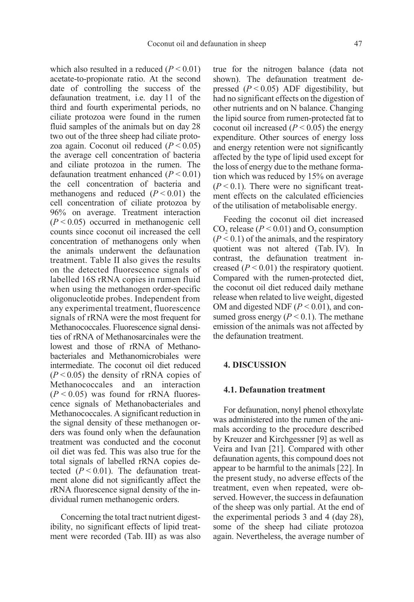which also resulted in a reduced  $(P < 0.01)$ acetate-to-propionate ratio. At the second date of controlling the success of the defaunation treatment, i.e. day 11 of the third and fourth experimental periods, no ciliate protozoa were found in the rumen fluid samples of the animals but on day 28 two out of the three sheep had ciliate protozoa again. Coconut oil reduced  $(P < 0.05)$ the average cell concentration of bacteria and ciliate protozoa in the rumen. The defaunation treatment enhanced  $(P < 0.01)$ the cell concentration of bacteria and methanogens and reduced  $(P < 0.01)$  the cell concentration of ciliate protozoa by 96% on average. Treatment interaction  $(P < 0.05)$  occurred in methanogenic cell counts since coconut oil increased the cell concentration of methanogens only when the animals underwent the defaunation treatment. Table II also gives the results on the detected fluorescence signals of labelled 16S rRNA copies in rumen fluid when using the methanogen order-specific oligonucleotide probes. Independent from any experimental treatment, fluorescence signals of rRNA were the most frequent for Methanococcales. Fluorescence signal densities of rRNA of Methanosarcinales were the lowest and those of rRNA of Methanobacteriales and Methanomicrobiales were intermediate. The coconut oil diet reduced  $(P<0.05)$  the density of rRNA copies of Methanococcales and an interaction  $(P < 0.05)$  was found for rRNA fluorescence signals of Methanobacteriales and Methanococcales. A significant reduction in the signal density of these methanogen orders was found only when the defaunation treatment was conducted and the coconut oil diet was fed. This was also true for the total signals of labelled rRNA copies detected  $(P < 0.01)$ . The defaunation treatment alone did not significantly affect the rRNA fluorescence signal density of the individual rumen methanogenic orders.

Concerning the total tract nutrient digestibility, no significant effects of lipid treatment were recorded (Tab. III) as was also true for the nitrogen balance (data not shown). The defaunation treatment depressed  $(P < 0.05)$  ADF digestibility, but had no significant effects on the digestion of other nutrients and on N balance. Changing the lipid source from rumen-protected fat to coconut oil increased  $(P < 0.05)$  the energy expenditure. Other sources of energy loss and energy retention were not significantly affected by the type of lipid used except for the loss of energy due to the methane formation which was reduced by 15% on average  $(P < 0.1)$ . There were no significant treatment effects on the calculated efficiencies of the utilisation of metabolisable energy.

Feeding the coconut oil diet increased CO<sub>2</sub> release ( $P < 0.01$ ) and O<sub>2</sub> consumption  $(P < 0.1)$  of the animals, and the respiratory quotient was not altered (Tab. IV). In contrast, the defaunation treatment increased  $(P < 0.01)$  the respiratory quotient. Compared with the rumen-protected diet, the coconut oil diet reduced daily methane release when related to live weight, digested OM and digested NDF  $(P < 0.01)$ , and consumed gross energy ( $P < 0.1$ ). The methane emission of the animals was not affected by the defaunation treatment.

### 4. DISCUSSION

### 4.1. Defaunation treatment

For defaunation, nonyl phenol ethoxylate was administered into the rumen of the animals according to the procedure described by Kreuzer and Kirchgessner [9] as well as Veira and Ivan [21]. Compared with other defaunation agents, this compound does not appear to be harmful to the animals [22]. In the present study, no adverse effects of the treatment, even when repeated, were observed. However, the success in defaunation of the sheep was only partial. At the end of the experimental periods 3 and 4 (day 28), some of the sheep had ciliate protozoa again. Nevertheless, the average number of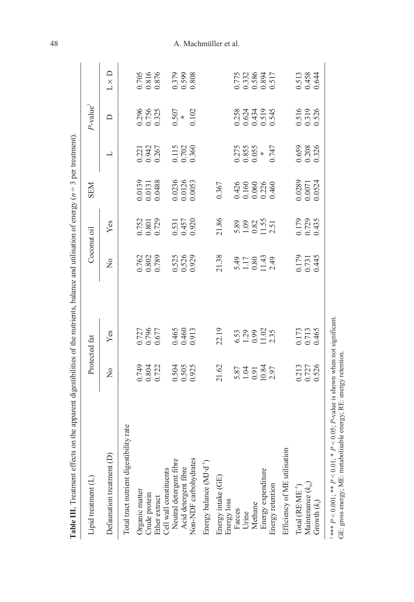| <b>Table III</b> . Treatment effects on the apparent digestibilities of the nutrients, balance and utilisation of energy $(n = 3$ per treatment). |                                |                                      |                                                |                                         |                                   |                                  |                                  |                                  |
|---------------------------------------------------------------------------------------------------------------------------------------------------|--------------------------------|--------------------------------------|------------------------------------------------|-----------------------------------------|-----------------------------------|----------------------------------|----------------------------------|----------------------------------|
| Lipid treatment (L)                                                                                                                               | Protected fat                  |                                      |                                                | Coconut oil                             | <b>NEN</b>                        |                                  | $P$ -value <sup>1</sup>          |                                  |
| Defaunation treatment (D)                                                                                                                         | $\frac{1}{2}$                  | Yes                                  | $\frac{1}{2}$                                  | Yes                                     |                                   | 凵                                | $\Box$                           | $L \times D$                     |
| Total tract nutrient digestibility rate                                                                                                           |                                |                                      |                                                |                                         |                                   |                                  |                                  |                                  |
| Organic matter                                                                                                                                    |                                |                                      |                                                |                                         |                                   |                                  |                                  |                                  |
| Crude protein                                                                                                                                     | 0.749<br>0.804<br>0.722        | 0.727<br>0.796<br>0.677              | 0.762<br>0.802<br>0.789                        | 0.752<br>0.801<br>0.729                 |                                   | 0.221<br>0.942<br>0.267          | 0.296<br>0.756<br>0.325          |                                  |
| Ether extract                                                                                                                                     |                                |                                      |                                                |                                         | 0.0139<br>0.0131<br>0.0488        |                                  |                                  | 0.705<br>0.816<br>0.876          |
| Cell wall constituents                                                                                                                            |                                |                                      |                                                |                                         |                                   |                                  |                                  |                                  |
| Neutral detergent fibre                                                                                                                           | 0.504<br>0.505<br>0.925        | 0.465<br>0.460<br>0.913              | 0.525<br>0.526<br>0.929                        | 0.531<br>0.457<br>0.920                 | 0.0236<br>0.0126<br>0.0053        | 0.115<br>0.702<br>0.360          | $0.507$<br>$* 0.102$             | 0.379<br>0.599<br>0.808          |
| Acid detergent fibre                                                                                                                              |                                |                                      |                                                |                                         |                                   |                                  |                                  |                                  |
| Non-NDF carbohydrates                                                                                                                             |                                |                                      |                                                |                                         |                                   |                                  |                                  |                                  |
| Energy balance (MJ·d <sup>-1</sup> )                                                                                                              |                                |                                      |                                                |                                         |                                   |                                  |                                  |                                  |
| Energy intake (GE)<br>Energy loss                                                                                                                 | 21.62                          | 22.19                                | 21.38                                          | 21.86                                   | 0.367                             |                                  |                                  |                                  |
| Faeces                                                                                                                                            |                                |                                      |                                                |                                         |                                   |                                  |                                  |                                  |
| Urine                                                                                                                                             | 5.87<br>1.04<br>10.84<br>10.84 | 6.53<br>1.29<br>1.02<br>1.35<br>2.35 | $5.17$<br>$1.18$<br>$1.49$<br>$1.49$<br>$1.49$ | $5.89$<br>$-1.52$<br>$-1.51$<br>$-1.51$ | 0.426<br>0.160<br>0.0226<br>0.460 | 0.275<br>0.855<br>0.055<br>0.747 | 0.258<br>0.624<br>0.519<br>0.545 | 0.775<br>0.332<br>0.886<br>0.517 |
| Methane                                                                                                                                           |                                |                                      |                                                |                                         |                                   |                                  |                                  |                                  |
| Energy expenditure                                                                                                                                |                                |                                      |                                                |                                         |                                   |                                  |                                  |                                  |
| Energy retention                                                                                                                                  |                                |                                      |                                                |                                         |                                   |                                  |                                  |                                  |
| Efficiency of ME utilisation                                                                                                                      |                                |                                      |                                                |                                         |                                   |                                  |                                  |                                  |
| Total (RE·ME <sup>-1</sup> )                                                                                                                      |                                |                                      |                                                |                                         |                                   |                                  |                                  |                                  |
| Maintenance $(k_m)$                                                                                                                               | 0.213<br>0.727<br>0.526        | 0.173<br>0.713<br>0.465              | 0.179<br>0.731<br>0.445                        | 0.179<br>0.729<br>0.435                 | 0.0289<br>0.0071<br>0.0524        | 0.659<br>0.208<br>0.326          | 0.516<br>0.319<br>0.526          | 0.513<br>0.458<br>0.644          |
| Growth $(k_f)$                                                                                                                                    |                                |                                      |                                                |                                         |                                   |                                  |                                  |                                  |
| <sup>1***</sup> $P$ < 0.001; ** $P$ < 0.01; * $P$ < 0.05; $P$ -value is shown when not significant.                                               |                                |                                      |                                                |                                         |                                   |                                  |                                  |                                  |

 $P < 0.001$ ; \*\*  $P < 0.01$ ; \*  $P < 0.05;$ P-value is shown when not significant. GE: gross energy; ME: metabolisable energy; RE: energy retention.

# 48 A. Machmüller et al.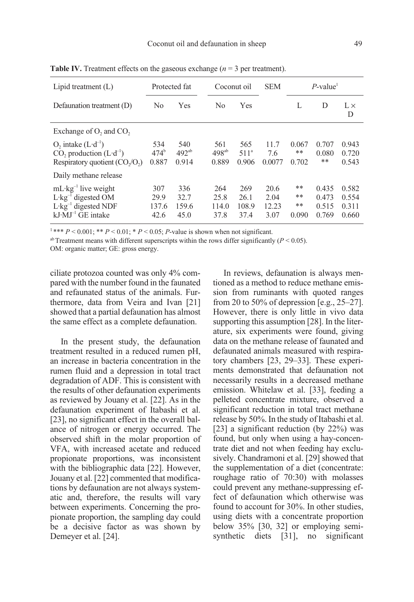| Lipid treatment $(L)$                                                                                                                 | Protected fat                 |                              | Coconut oil                  |                                  | <b>SEM</b>                    |                            | $P$ -value <sup>1</sup>          |                                  |
|---------------------------------------------------------------------------------------------------------------------------------------|-------------------------------|------------------------------|------------------------------|----------------------------------|-------------------------------|----------------------------|----------------------------------|----------------------------------|
| Defaunation treatment (D)                                                                                                             | N <sub>0</sub>                | Yes                          | No                           | Yes                              |                               | L                          | D                                | $L \times$<br>D                  |
| Exchange of $O_2$ , and $CO_2$                                                                                                        |                               |                              |                              |                                  |                               |                            |                                  |                                  |
| O, intake $(L \cdot d^{-1})$<br>$CO$ , production $(L \cdot d^{-1})$<br>Respiratory quotient $(CO2/O2)$                               | 534<br>$474^{\rm b}$<br>0.887 | 540<br>$492^{ab}$<br>0.914   | 561<br>$498^{ab}$<br>0.889   | 565<br>511 <sup>a</sup><br>0.906 | 11.7<br>7.6<br>0.0077         | 0.067<br>**<br>0.702       | 0.707<br>0.080<br>**             | 0.943<br>0.720<br>0.543          |
| Daily methane release                                                                                                                 |                               |                              |                              |                                  |                               |                            |                                  |                                  |
| $mL \cdot kg^{-1}$ live weight<br>$L \cdot kg^{-1}$ digested OM<br>$L$ ·kg <sup>-1</sup> digested NDF<br>$kJ \cdot MJ^{-1}$ GE intake | 307<br>29.9<br>137.6<br>42.6  | 336<br>32.7<br>159.6<br>45.0 | 264<br>25.8<br>114.0<br>37.8 | 269<br>26.1<br>108.9<br>37.4     | 20.6<br>2.04<br>12.23<br>3.07 | **<br>$***$<br>**<br>0.090 | 0.435<br>0.473<br>0.515<br>0.769 | 0.582<br>0.554<br>0.311<br>0.660 |

**Table IV.** Treatment effects on the gaseous exchange ( $n = 3$  per treatment).

<sup>1</sup>\*\*\*  $P < 0.001$ ; \*\*  $P < 0.01$ ; \*  $P < 0.05$ ;  $P$ -value is shown when not significant.

<sup>ab</sup> Treatment means with different superscripts within the rows differ significantly ( $P < 0.05$ ).

OM: organic matter; GE: gross energy.

ciliate protozoa counted was only 4% compared with the number found in the faunated and refaunated status of the animals. Furthermore, data from Veira and Ivan [21] showed that a partial defaunation has almost the same effect as a complete defaunation.

In the present study, the defaunation treatment resulted in a reduced rumen pH, an increase in bacteria concentration in the rumen fluid and a depression in total tract degradation of ADF. This is consistent with the results of other defaunation experiments as reviewed by Jouany et al. [22]. As in the defaunation experiment of Itabashi et al. [23], no significant effect in the overall balance of nitrogen or energy occurred. The observed shift in the molar proportion of VFA, with increased acetate and reduced propionate proportions, was inconsistent with the bibliographic data [22]. However, Jouany et al. [22] commented that modifications by defaunation are not always systematic and, therefore, the results will vary between experiments. Concerning the propionate proportion, the sampling day could be a decisive factor as was shown by Demeyer et al. [24].

In reviews, defaunation is always mentioned as a method to reduce methane emission from ruminants with quoted ranges from 20 to 50% of depression [e.g., 25–27]. However, there is only little in vivo data supporting this assumption [28]. In the literature, six experiments were found, giving data on the methane release of faunated and defaunated animals measured with respiratory chambers [23, 29–33]. These experiments demonstrated that defaunation not necessarily results in a decreased methane emission. Whitelaw et al. [33], feeding a pelleted concentrate mixture, observed a significant reduction in total tract methane release by 50%. In the study of Itabashi et al. [23] a significant reduction (by 22%) was found, but only when using a hay-concentrate diet and not when feeding hay exclusively. Chandramoni et al. [29] showed that the supplementation of a diet (concentrate: roughage ratio of 70:30) with molasses could prevent any methane-suppressing effect of defaunation which otherwise was found to account for 30%. In other studies, using diets with a concentrate proportion below 35% [30, 32] or employing semisynthetic diets [31], no significant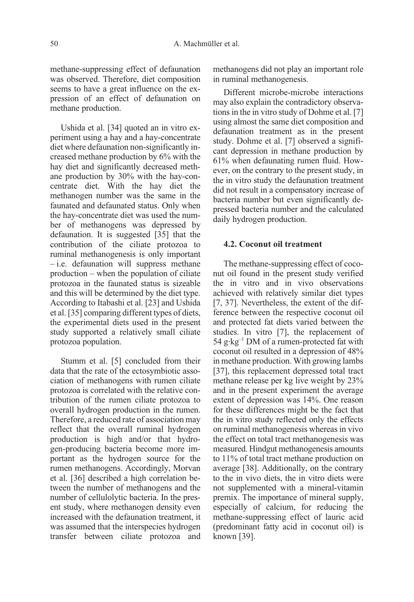methane-suppressing effect of defaunation was observed. Therefore, diet composition seems to have a great influence on the expression of an effect of defaunation on methane production.

Ushida et al. [34] quoted an in vitro experiment using a hay and a hay-concentrate diet where defaunation non-significantly increased methane production by 6% with the hay diet and significantly decreased methane production by 30% with the hay-concentrate diet. With the hay diet the methanogen number was the same in the faunated and defaunated status. Only when the hay-concentrate diet was used the number of methanogens was depressed by defaunation. It is suggested [35] that the contribution of the ciliate protozoa to ruminal methanogenesis is only important – i.e. defaunation will suppress methane production – when the population of ciliate protozoa in the faunated status is sizeable and this will be determined by the diet type. According to Itabashi et al. [23] and Ushida et al. [35] comparing different types of diets, the experimental diets used in the present study supported a relatively small ciliate protozoa population.

Stumm et al. [5] concluded from their data that the rate of the ectosymbiotic association of methanogens with rumen ciliate protozoa is correlated with the relative contribution of the rumen ciliate protozoa to overall hydrogen production in the rumen. Therefore, a reduced rate of association may reflect that the overall ruminal hydrogen production is high and/or that hydrogen-producing bacteria become more important as the hydrogen source for the rumen methanogens. Accordingly, Morvan et al. [36] described a high correlation between the number of methanogens and the number of cellulolytic bacteria. In the present study, where methanogen density even increased with the defaunation treatment, it was assumed that the interspecies hydrogen transfer between ciliate protozoa and methanogens did not play an important role in ruminal methanogenesis.

Different microbe-microbe interactions may also explain the contradictory observations in the in vitro study of Dohme et al. [7] using almost the same diet composition and defaunation treatment as in the present study. Dohme et al. [7] observed a significant depression in methane production by 61% when defaunating rumen fluid. However, on the contrary to the present study, in the in vitro study the defaunation treatment did not result in a compensatory increase of bacteria number but even significantly depressed bacteria number and the calculated daily hydrogen production.

### 4.2. Coconut oil treatment

The methane-suppressing effect of coconut oil found in the present study verified the in vitro and in vivo observations achieved with relatively similar diet types [7, 37]. Nevertheless, the extent of the difference between the respective coconut oil and protected fat diets varied between the studies. In vitro [7], the replacement of 54  $g$ ·kg<sup>-1</sup> DM of a rumen-protected fat with coconut oil resulted in a depression of 48% in methane production. With growing lambs [37], this replacement depressed total tract methane release per kg live weight by 23% and in the present experiment the average extent of depression was 14%. One reason for these differences might be the fact that the in vitro study reflected only the effects on ruminal methanogenesis whereas in vivo the effect on total tract methanogenesis was measured. Hindgut methanogenesis amounts to 11% of total tract methane production on average [38]. Additionally, on the contrary to the in vivo diets, the in vitro diets were not supplemented with a mineral-vitamin premix. The importance of mineral supply, especially of calcium, for reducing the methane-suppressing effect of lauric acid (predominant fatty acid in coconut oil) is known [39].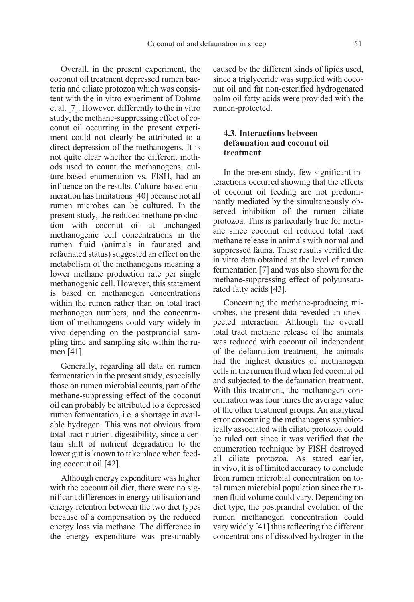Overall, in the present experiment, the coconut oil treatment depressed rumen bacteria and ciliate protozoa which was consistent with the in vitro experiment of Dohme et al. [7]. However, differently to the in vitro study, the methane-suppressing effect of coconut oil occurring in the present experiment could not clearly be attributed to a direct depression of the methanogens. It is not quite clear whether the different methods used to count the methanogens, culture-based enumeration vs. FISH, had an influence on the results. Culture-based enumeration has limitations [40] because not all rumen microbes can be cultured. In the present study, the reduced methane production with coconut oil at unchanged methanogenic cell concentrations in the rumen fluid (animals in faunated and refaunated status) suggested an effect on the metabolism of the methanogens meaning a lower methane production rate per single methanogenic cell. However, this statement is based on methanogen concentrations within the rumen rather than on total tract methanogen numbers, and the concentration of methanogens could vary widely in vivo depending on the postprandial sampling time and sampling site within the rumen [41].

Generally, regarding all data on rumen fermentation in the present study, especially those on rumen microbial counts, part of the methane-suppressing effect of the coconut oil can probably be attributed to a depressed rumen fermentation, i.e. a shortage in available hydrogen. This was not obvious from total tract nutrient digestibility, since a certain shift of nutrient degradation to the lower gut is known to take place when feeding coconut oil [42].

Although energy expenditure was higher with the coconut oil diet, there were no significant differences in energy utilisation and energy retention between the two diet types because of a compensation by the reduced energy loss via methane. The difference in the energy expenditure was presumably caused by the different kinds of lipids used, since a triglyceride was supplied with coconut oil and fat non-esterified hydrogenated palm oil fatty acids were provided with the rumen-protected.

# 4.3. Interactions between defaunation and coconut oil treatment

In the present study, few significant interactions occurred showing that the effects of coconut oil feeding are not predominantly mediated by the simultaneously observed inhibition of the rumen ciliate protozoa. This is particularly true for methane since coconut oil reduced total tract methane release in animals with normal and suppressed fauna. These results verified the in vitro data obtained at the level of rumen fermentation [7] and was also shown for the methane-suppressing effect of polyunsaturated fatty acids [43].

Concerning the methane-producing microbes, the present data revealed an unexpected interaction. Although the overall total tract methane release of the animals was reduced with coconut oil independent of the defaunation treatment, the animals had the highest densities of methanogen cells in the rumen fluid when fed coconut oil and subjected to the defaunation treatment. With this treatment, the methanogen concentration was four times the average value of the other treatment groups. An analytical error concerning the methanogens symbiotically associated with ciliate protozoa could be ruled out since it was verified that the enumeration technique by FISH destroyed all ciliate protozoa. As stated earlier, in vivo, it is of limited accuracy to conclude from rumen microbial concentration on total rumen microbial population since the rumen fluid volume could vary. Depending on diet type, the postprandial evolution of the rumen methanogen concentration could vary widely [41] thus reflecting the different concentrations of dissolved hydrogen in the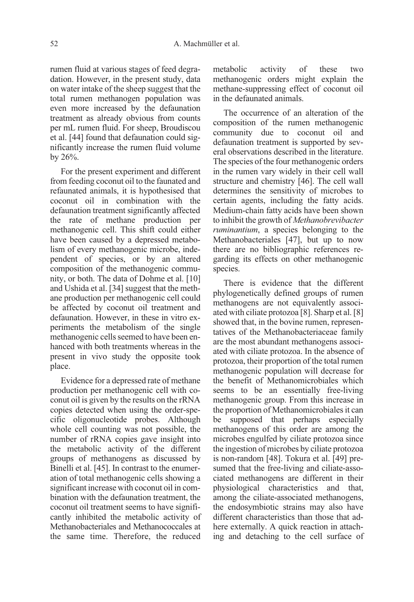rumen fluid at various stages of feed degradation. However, in the present study, data on water intake of the sheep suggest that the total rumen methanogen population was even more increased by the defaunation treatment as already obvious from counts per mL rumen fluid. For sheep, Broudiscou et al. [44] found that defaunation could significantly increase the rumen fluid volume by  $26%$ .

For the present experiment and different from feeding coconut oil to the faunated and refaunated animals, it is hypothesised that coconut oil in combination with the defaunation treatment significantly affected the rate of methane production per methanogenic cell. This shift could either have been caused by a depressed metabolism of every methanogenic microbe, independent of species, or by an altered composition of the methanogenic community, or both. The data of Dohme et al. [10] and Ushida et al. [34] suggest that the methane production per methanogenic cell could be affected by coconut oil treatment and defaunation. However, in these in vitro experiments the metabolism of the single methanogenic cells seemed to have been enhanced with both treatments whereas in the present in vivo study the opposite took place.

Evidence for a depressed rate of methane production per methanogenic cell with coconut oil is given by the results on the rRNA copies detected when using the order-specific oligonucleotide probes. Although whole cell counting was not possible, the number of rRNA copies gave insight into the metabolic activity of the different groups of methanogens as discussed by Binelli et al. [45]. In contrast to the enumeration of total methanogenic cells showing a significant increase with coconut oil in combination with the defaunation treatment, the coconut oil treatment seems to have significantly inhibited the metabolic activity of Methanobacteriales and Methanococcales at the same time. Therefore, the reduced metabolic activity of these two methanogenic orders might explain the methane-suppressing effect of coconut oil in the defaunated animals.

The occurrence of an alteration of the composition of the rumen methanogenic community due to coconut oil and defaunation treatment is supported by several observations described in the literature. The species of the four methanogenic orders in the rumen vary widely in their cell wall structure and chemistry [46]. The cell wall determines the sensitivity of microbes to certain agents, including the fatty acids. Medium-chain fatty acids have been shown to inhibit the growth of Methanobrevibacter ruminantium, a species belonging to the Methanobacteriales [47], but up to now there are no bibliographic references regarding its effects on other methanogenic species.

There is evidence that the different phylogenetically defined groups of rumen methanogens are not equivalently associated with ciliate protozoa [8]. Sharp et al. [8] showed that, in the bovine rumen, representatives of the Methanobacteriaceae family are the most abundant methanogens associated with ciliate protozoa. In the absence of protozoa, their proportion of the total rumen methanogenic population will decrease for the benefit of Methanomicrobiales which seems to be an essentially free-living methanogenic group. From this increase in the proportion of Methanomicrobiales it can be supposed that perhaps especially methanogens of this order are among the microbes engulfed by ciliate protozoa since the ingestion of microbes by ciliate protozoa is non-random [48]. Tokura et al. [49] presumed that the free-living and ciliate-associated methanogens are different in their physiological characteristics and that, among the ciliate-associated methanogens, the endosymbiotic strains may also have different characteristics than those that adhere externally. A quick reaction in attaching and detaching to the cell surface of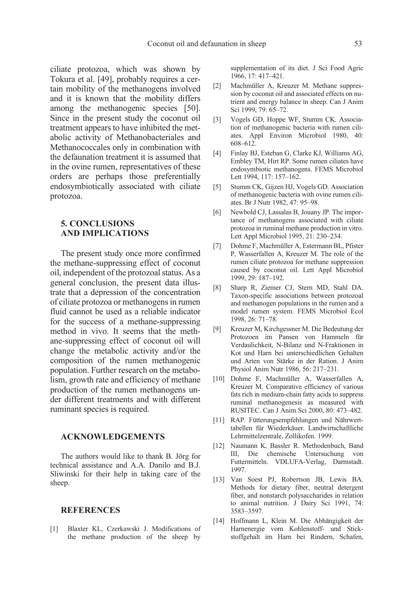ciliate protozoa, which was shown by Tokura et al. [49], probably requires a certain mobility of the methanogens involved and it is known that the mobility differs among the methanogenic species [50]. Since in the present study the coconut oil treatment appears to have inhibited the metabolic activity of Methanobacteriales and Methanococcales only in combination with the defaunation treatment it is assumed that in the ovine rumen, representatives of these orders are perhaps those preferentially endosymbiotically associated with ciliate protozoa.

# 5. CONCLUSIONS AND IMPLICATIONS

The present study once more confirmed the methane-suppressing effect of coconut oil, independent of the protozoal status. As a general conclusion, the present data illustrate that a depression of the concentration of ciliate protozoa or methanogens in rumen fluid cannot be used as a reliable indicator for the success of a methane-suppressing method in vivo. It seems that the methane-suppressing effect of coconut oil will change the metabolic activity and/or the composition of the rumen methanogenic population. Further research on the metabolism, growth rate and efficiency of methane production of the rumen methanogens under different treatments and with different ruminant species is required.

### ACKNOWLEDGEMENTS

The authors would like to thank B. Jörg for technical assistance and A.A. Danilo and B.J. Sliwinski for their help in taking care of the sheep.

### **REFERENCES**

[1] Blaxter KL, Czerkawski J. Modifications of the methane production of the sheep by supplementation of its diet. J Sci Food Agric 1966, 17: 417–421.

- [2] Machmüller A, Kreuzer M. Methane suppression by coconut oil and associated effects on nutrient and energy balance in sheep. Can J Anim Sci 1999, 79: 65–72.
- [3] Vogels GD, Hoppe WF, Stumm CK. Association of methanogenic bacteria with rumen ciliates. Appl Environ Microbiol 1980, 40: 608–612.
- [4] Finlay BJ, Esteban G, Clarke KJ, Williams AG, Embley TM, Hirt RP. Some rumen ciliates have endosymbiotic methanogens. FEMS Microbiol Lett 1994, 117: 157–162.
- [5] Stumm CK, Gijzen HJ, Vogels GD. Association of methanogenic bacteria with ovine rumen ciliates. Br J Nutr 1982, 47: 95–98.
- [6] Newbold CJ, Lassalas B, Jouany JP. The importance of methanogens associated with ciliate protozoa in ruminal methane production in vitro. Lett Appl Microbiol 1995, 21: 230–234.
- [7] Dohme F, Machmüller A, Estermann BL, Pfister P, Wasserfallen A, Kreuzer M. The role of the rumen ciliate protozoa for methane suppression caused by coconut oil. Lett Appl Microbiol 1999, 29: 187–192.
- [8] Sharp R, Ziemer CJ, Stern MD, Stahl DA. Taxon-specific associations between protozoal and methanogen populations in the rumen and a model rumen system. FEMS Microbiol Ecol 1998, 26: 71–78.
- [9] Kreuzer M, Kirchgessner M. Die Bedeutung der Protozoen im Pansen von Hammeln für Verdaulichkeit, N-Bilanz und N-Fraktionen in Kot und Harn bei unterschiedlichen Gehalten und Arten von Stärke in der Ration. J Anim Physiol Anim Nutr 1986, 56: 217–231.
- [10] Dohme F, Machmüller A, Wasserfallen A, Kreuzer M. Comparative efficiency of various fats rich in medium-chain fatty acids to suppress ruminal methanogenesis as measured with RUSITEC. Can J Anim Sci 2000, 80: 473–482.
- [11] RAP. Fütterungsempfehlungen und Nährwerttabellen für Wiederkäuer. Landwirtschaftliche Lehrmittelzentrale, Zollikofen. 1999.
- [12] Naumann K, Bassler R. Methodenbuch, Band III, Die chemische Untersuchung von Futtermitteln. VDLUFA-Verlag, Darmstadt. 1997.
- [13] Van Soest PJ, Robertson JB, Lewis BA. Methods for dietary fiber, neutral detergent fiber, and nonstarch polysaccharides in relation to animal nutrition. J Dairy Sci 1991, 74: 3583–3597.
- [14] Hoffmann L, Klein M. Die Abhängigkeit der Harnenergie vom Kohlenstoff- und Stickstoffgehalt im Harn bei Rindern, Schafen,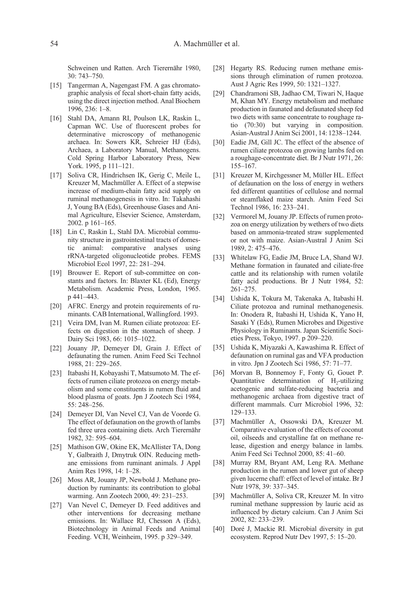Schweinen und Ratten. Arch Tierernähr 1980, 30: 743–750.

- [15] Tangerman A, Nagengast FM. A gas chromatographic analysis of fecal short-chain fatty acids, using the direct injection method. Anal Biochem 1996, 236: 1–8.
- [16] Stahl DA, Amann RI, Poulson LK, Raskin L, Capman WC. Use of fluorescent probes for determinative microscopy of methanogenic archaea. In: Sowers KR, Schreier HJ (Eds), Archaea, a Laboratory Manual, Methanogens. Cold Spring Harbor Laboratory Press, New York. 1995, p 111–121.
- [17] Soliva CR, Hindrichsen IK, Gerig C, Meile L, Kreuzer M, Machmüller A. Effect of a stepwise increase of medium-chain fatty acid supply on ruminal methanogenesis in vitro. In: Takahashi J, Young BA (Eds), Greenhouse Gases and Animal Agriculture, Elsevier Science, Amsterdam, 2002. p 161–165.
- [18] Lin C, Raskin L, Stahl DA. Microbial community structure in gastrointestinal tracts of domestic animal: comparative analyses using rRNA-targeted oligonucleotide probes. FEMS Microbiol Ecol 1997, 22: 281–294.
- [19] Brouwer E. Report of sub-committee on constants and factors. In: Blaxter KL (Ed), Energy Metabolism. Academic Press, London, 1965. p 441–443.
- [20] AFRC. Energy and protein requirements of ruminants. CAB International, Wallingford. 1993.
- [21] Veira DM, Ivan M. Rumen ciliate protozoa: Effects on digestion in the stomach of sheep. J Dairy Sci 1983, 66: 1015–1022.
- [22] Jouany JP, Demeyer DI, Grain J. Effect of defaunating the rumen. Anim Feed Sci Technol 1988, 21: 229–265.
- [23] Itabashi H, Kobayashi T, Matsumoto M. The effects of rumen ciliate protozoa on energy metabolism and some constituents in rumen fluid and blood plasma of goats. Jpn J Zootech Sci 1984, 55: 248–256.
- [24] Demeyer DI, Van Nevel CJ, Van de Voorde G. The effect of defaunation on the growth of lambs fed three urea containing diets. Arch Tierernähr 1982, 32: 595–604.
- [25] Mathison GW, Okine EK, McAllister TA, Dong Y, Galbraith J, Dmytruk OIN. Reducing methane emissions from ruminant animals. J Appl Anim Res 1998, 14: 1–28.
- [26] Moss AR, Jouany JP, Newbold J. Methane production by ruminants: its contribution to global warming. Ann Zootech 2000, 49: 231–253.
- [27] Van Nevel C, Demeyer D. Feed additives and other interventions for decreasing methane emissions. In: Wallace RJ, Chesson A (Eds), Biotechnology in Animal Feeds and Animal Feeding. VCH, Weinheim, 1995. p 329–349.
- [28] Hegarty RS. Reducing rumen methane emissions through elimination of rumen protozoa. Aust J Agric Res 1999, 50: 1321–1327.
- [29] Chandramoni SB, Jadhao CM, Tiwari N, Haque M, Khan MY. Energy metabolism and methane production in faunated and defaunated sheep fed two diets with same concentrate to roughage ratio (70:30) but varying in composition. Asian-Austral J Anim Sci 2001, 14: 1238–1244.
- [30] Eadie JM, Gill JC. The effect of the absence of rumen ciliate protozoa on growing lambs fed on a roughage-concentrate diet. Br J Nutr 1971, 26: 155–167.
- [31] Kreuzer M, Kirchgessner M, Müller HL. Effect of defaunation on the loss of energy in wethers fed different quantities of cellulose and normal or steamflaked maize starch. Anim Feed Sci Technol 1986, 16: 233–241.
- [32] Vermorel M, Jouany JP. Effects of rumen protozoa on energy utilization by wethers of two diets based on ammonia-treated straw supplemented or not with maize. Asian-Austral J Anim Sci 1989, 2: 475–476.
- [33] Whitelaw FG, Eadie JM, Bruce LA, Shand WJ. Methane formation in faunated and ciliate-free cattle and its relationship with rumen volatile fatty acid productions. Br J Nutr 1984, 52: 261–275.
- [34] Ushida K, Tokura M, Takenaka A, Itabashi H. Ciliate protozoa and ruminal methanogenesis. In: Onodera R, Itabashi H, Ushida K, Yano H, Sasaki Y (Eds), Rumen Microbes and Digestive Physiology in Ruminants. Japan Scientific Societies Press, Tokyo, 1997. p 209–220.
- [35] Ushida K, Miyazaki A, Kawashima R. Effect of defaunation on ruminal gas and VFA production in vitro. Jpn J Zootech Sci 1986, 57: 71–77.
- [36] Morvan B, Bonnemoy F, Fonty G, Gouet P. Quantitative determination of  $H_2$ -utilizing acetogenic and sulfate-reducing bacteria and methanogenic archaea from digestive tract of different mammals. Curr Microbiol 1996, 32: 129–133.
- [37] Machmüller A, Ossowski DA, Kreuzer M. Comparative evaluation of the effects of coconut oil, oilseeds and crystalline fat on methane release, digestion and energy balance in lambs. Anim Feed Sci Technol 2000, 85: 41–60.
- [38] Murray RM, Bryant AM, Leng RA. Methane production in the rumen and lower gut of sheep given lucerne chaff: effect of level of intake. Br J Nutr 1978, 39: 337–345.
- [39] Machmüller A, Soliva CR, Kreuzer M. In vitro ruminal methane suppression by lauric acid as influenced by dietary calcium. Can J Anim Sci 2002, 82: 233–239.
- [40] Doré J, Mackie RI. Microbial diversity in gut ecosystem. Reprod Nutr Dev 1997, 5: 15–20.